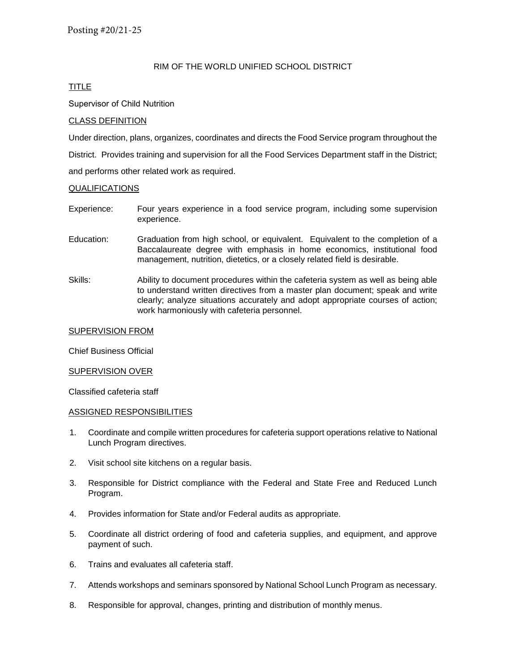## RIM OF THE WORLD UNIFIED SCHOOL DISTRICT

## TITLE

## Supervisor of Child Nutrition

## CLASS DEFINITION

Under direction, plans, organizes, coordinates and directs the Food Service program throughout the

District. Provides training and supervision for all the Food Services Department staff in the District;

and performs other related work as required.

## **QUALIFICATIONS**

- Experience: Four years experience in a food service program, including some supervision experience.
- Education: Graduation from high school, or equivalent. Equivalent to the completion of a Baccalaureate degree with emphasis in home economics, institutional food management, nutrition, dietetics, or a closely related field is desirable.
- Skills: Ability to document procedures within the cafeteria system as well as being able to understand written directives from a master plan document; speak and write clearly; analyze situations accurately and adopt appropriate courses of action; work harmoniously with cafeteria personnel.

#### SUPERVISION FROM

Chief Business Official

#### SUPERVISION OVER

Classified cafeteria staff

#### ASSIGNED RESPONSIBILITIES

- 1. Coordinate and compile written procedures for cafeteria support operations relative to National Lunch Program directives.
- 2. Visit school site kitchens on a regular basis.
- 3. Responsible for District compliance with the Federal and State Free and Reduced Lunch Program.
- 4. Provides information for State and/or Federal audits as appropriate.
- 5. Coordinate all district ordering of food and cafeteria supplies, and equipment, and approve payment of such.
- 6. Trains and evaluates all cafeteria staff.
- 7. Attends workshops and seminars sponsored by National School Lunch Program as necessary.
- 8. Responsible for approval, changes, printing and distribution of monthly menus.